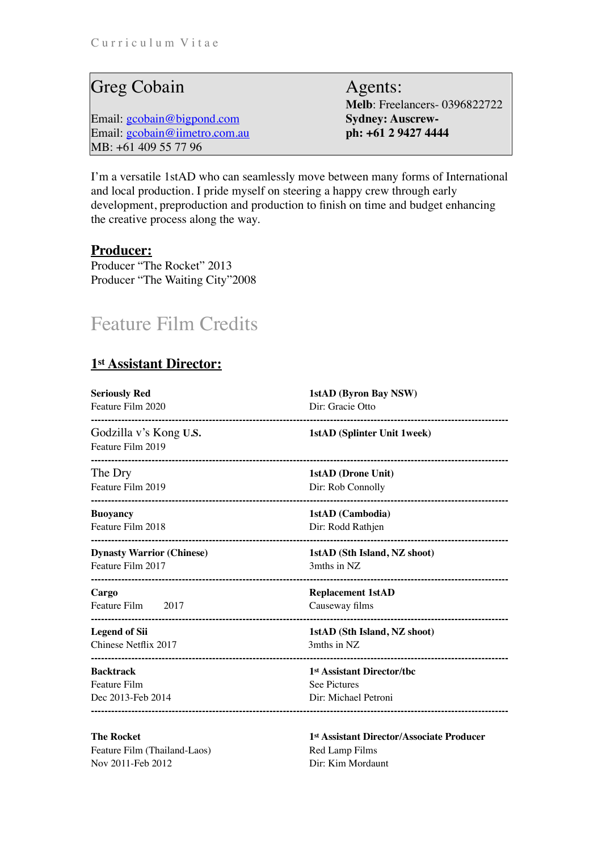## Greg Cobain Agents:

Email: [gcobain@bigpond.com](mailto:gcobain@bigpond.com) **Sydney: Auscrew-**Email: [gcobain@iimetro.com.au](mailto:gcobain@iimetro.com.au) **ph: +61 2 9427 4444** MB: +61 409 55 77 96

**Melb**: Freelancers- 0396822722

I'm a versatile 1stAD who can seamlessly move between many forms of International and local production. I pride myself on steering a happy crew through early development, preproduction and production to finish on time and budget enhancing the creative process along the way.

## **Producer:**

Producer "The Rocket" 2013 Producer "The Waiting City"2008

## Feature Film Credits

## **1st Assistant Director:**

| 1stAD (Byron Bay NSW)<br>Dir: Gracie Otto      |
|------------------------------------------------|
| <b>1stAD (Splinter Unit 1week)</b>             |
| <b>1stAD</b> (Drone Unit)<br>Dir: Rob Connolly |
| 1stAD (Cambodia)<br>Dir: Rodd Rathjen          |
| 1stAD (Sth Island, NZ shoot)<br>3mths in NZ    |
| <b>Replacement 1stAD</b><br>Causeway films     |
| 1stAD (Sth Island, NZ shoot)<br>3mths in NZ    |
| 1 <sup>st</sup> Assistant Director/tbc         |
| <b>See Pictures</b><br>Dir: Michael Petroni    |
|                                                |

Feature Film (Thailand-Laos) Red Lamp Films Nov 2011-Feb 2012 Dir: Kim Mordaunt

**The Rocket 1st Assistant Director/Associate Producer 1st Assistant Director/Associate Producer**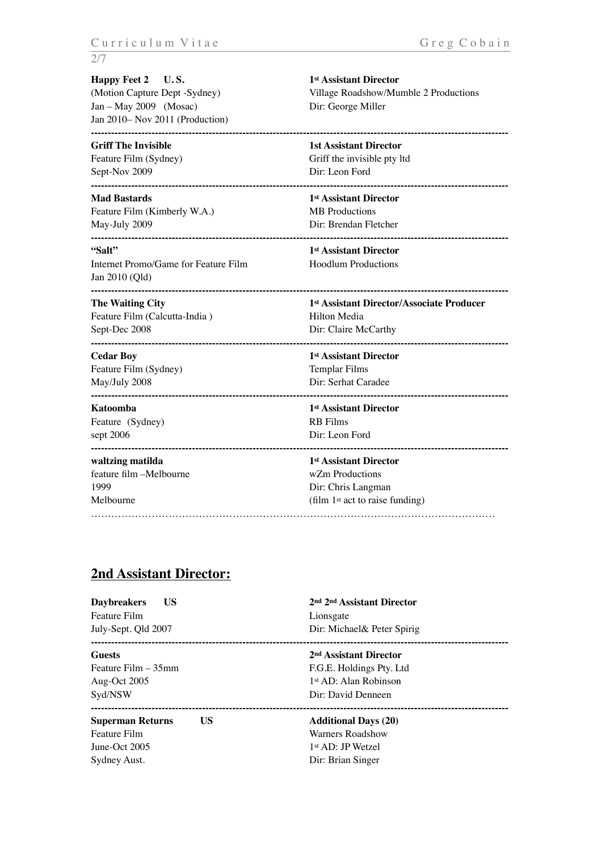**Happy Feet 2 U.S.** 1st Assistant Director Jan – May 2009 (Mosac) Dir: George Miller Jan 2010– Nov 2011 (Production)

Sept-Nov 2009 Dir: Leon Ford

Feature Film (Kimberly W.A.) MB Productions May-July 2009 Dir: Brendan Fletcher

**"Salt" 1st Assistant Director**  Internet Promo/Game for Feature Film Hoodlum Productions Jan 2010 (Qld) **----------------------------------------------------------------------------------------------------------------------------**

Feature Film (Calcutta-India) Hilton Media Sept-Dec 2008 Dir: Claire McCarthy

**Cedar Boy 1st Assistant Director**  Feature Film (Sydney) Templar Films May/July 2008 Dir: Serhat Caradee

Feature (Sydney) RB Films sept 2006 Dir: Leon Ford

## feature film –Melbourne wZm Productions 1999 Dir: Chris Langman

(Motion Capture Dept -Sydney) Village Roadshow/Mumble 2 Productions

**---------------------------------------------------------------------------------------------------------------------------- Griff The Invisible 1st Assistant Director 1st Assistant Director** Feature Film (Sydney) Griff the invisible pty ltd **---------------------------------------------------------------------------------------------------------------------------- Mad Bastards** 1st Assistant Director

**----------------------------------------------------------------------------------------------------------------------------** 

**The Waiting City 1st Assistant Director/Associate Producer 1st Assistant Director/Associate Producer** 

**---------------------------------------------------------------------------------------------------------------------------- ----------------------------------------------------------------------------------------------------------------------------** 

**Katoomba 1st Assistant Director** 

**--------------------------------------------------------------------------------------------------------------------------- waltzing matilda** 1st Assistant Director

Melbourne (film 1<sup>st</sup> act to raise funding) …………………………………………………………………………………………………………

## **2nd Assistant Director:**

| <b>Daybreakers</b><br>US<br>Feature Film<br>July-Sept. Qld 2007                | 2nd 2nd Assistant Director<br>Lionsgate<br>Dir: Michael & Peter Spirig                                                    |
|--------------------------------------------------------------------------------|---------------------------------------------------------------------------------------------------------------------------|
| <b>Guests</b><br>Feature Film – 35mm<br>Aug-Oct 2005<br>Syd/NSW                | 2 <sup>nd</sup> Assistant Director<br>F.G.E. Holdings Pty. Ltd<br>1 <sup>st</sup> AD: Alan Robinson<br>Dir: David Denneen |
| US<br><b>Superman Returns</b><br>Feature Film<br>June-Oct 2005<br>Sydney Aust. | <b>Additional Days (20)</b><br>Warners Roadshow<br>1 <sup>st</sup> AD: JP Wetzel<br>Dir: Brian Singer                     |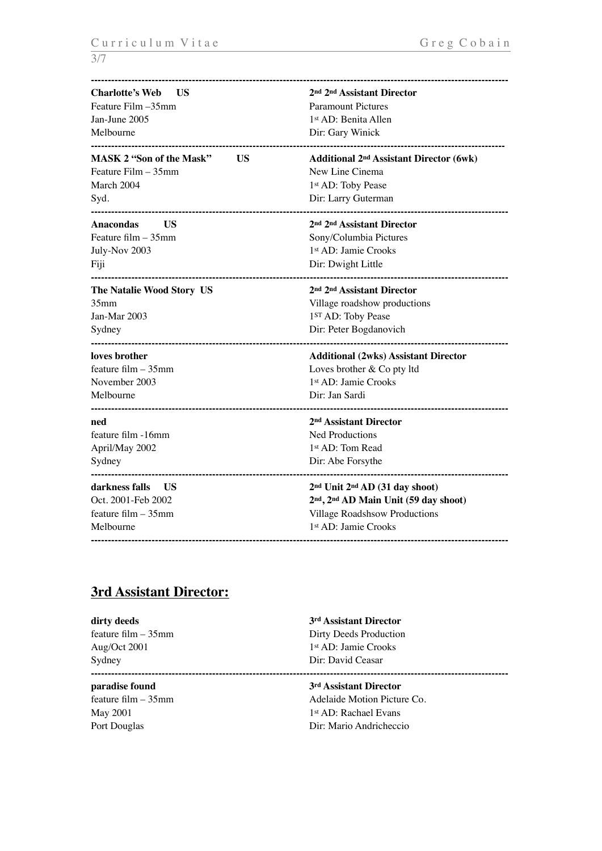| <b>Charlotte's Web</b><br>- US        | 2nd 2nd Assistant Director                                |
|---------------------------------------|-----------------------------------------------------------|
| Feature Film -35mm                    | <b>Paramount Pictures</b>                                 |
| Jan-June 2005                         | 1st AD: Benita Allen                                      |
| Melbourne                             | Dir: Gary Winick                                          |
| <b>MASK 2 "Son of the Mask"</b><br>US | <b>Additional 2<sup>nd</sup> Assistant Director (6wk)</b> |
| Feature Film - 35mm                   | New Line Cinema                                           |
| March 2004                            | 1st AD: Toby Pease                                        |
| Syd.                                  | Dir: Larry Guterman                                       |
| <b>Anacondas</b><br>US                | 2nd 2nd Assistant Director                                |
| Feature film - 35mm                   | Sony/Columbia Pictures                                    |
| July-Nov 2003                         | 1st AD: Jamie Crooks                                      |
| Fiji                                  | Dir: Dwight Little                                        |
| The Natalie Wood Story US             | 2nd 2nd Assistant Director                                |
| 35 <sub>mm</sub>                      | Village roadshow productions                              |
| Jan-Mar 2003                          | 1ST AD: Toby Pease                                        |
| Sydney                                | Dir: Peter Bogdanovich                                    |
| loves brother                         | <b>Additional (2wks) Assistant Director</b>               |
| feature film $-35$ mm                 | Loves brother & Co pty ltd                                |
| November 2003                         | 1st AD: Jamie Crooks                                      |
| Melbourne                             | Dir: Jan Sardi<br>--------------------------------        |
| ned                                   | 2 <sup>nd</sup> Assistant Director                        |
| feature film -16mm                    | Ned Productions                                           |
| April/May 2002                        | 1st AD: Tom Read                                          |
| Sydney                                | Dir: Abe Forsythe                                         |
| darkness falls<br>- US                | 2nd Unit 2nd AD (31 day shoot)                            |
| Oct. 2001-Feb 2002                    | 2nd, 2nd AD Main Unit (59 day shoot)                      |
| feature film $-35$ mm                 | Village Roadshsow Productions                             |
| Melbourne                             | 1st AD: Jamie Crooks                                      |

## **3rd Assistant Director:**

| dirty deeds           | 3 <sup>rd</sup> Assistant Director |  |
|-----------------------|------------------------------------|--|
| feature film $-35$ mm | Dirty Deeds Production             |  |
| Aug/Oct 2001          | 1 <sup>st</sup> AD: Jamie Crooks   |  |
| Sydney                | Dir: David Ceasar                  |  |
|                       |                                    |  |
| paradise found        | 3rd Assistant Director             |  |
| feature film $-35$ mm | Adelaide Motion Picture Co.        |  |
| May 2001              | 1 <sup>st</sup> AD: Rachael Evans  |  |
| Port Douglas          | Dir: Mario Andricheccio            |  |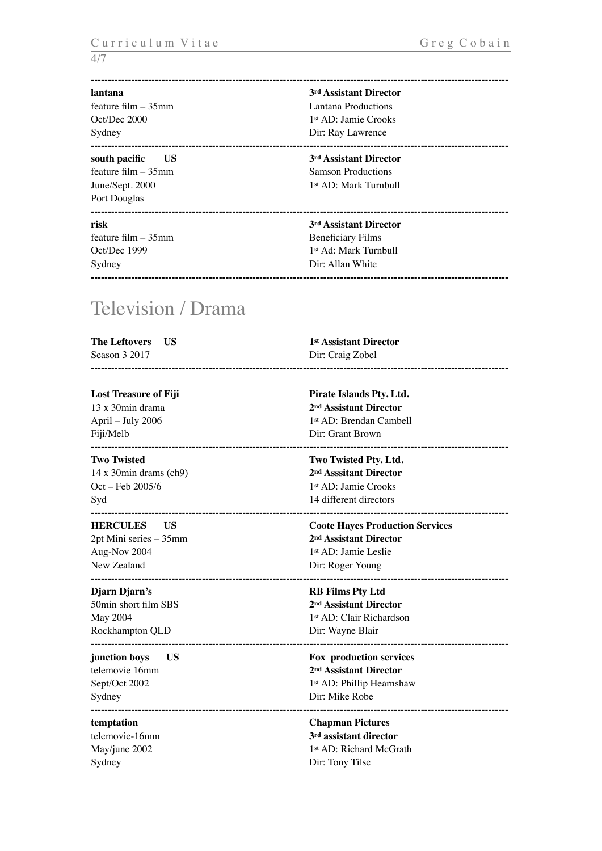### **----------------------------------------------------------------------------------------------------------------------------**

**----------------------------------------------------------------------------------------------------------------------------** 

feature film – 35mm Lantana Productions Sydney Dir: Ray Lawrence

**south pacific** US 3<sup>rd</sup> Assistant Director Port Douglas

feature film – 35mm Beneficiary Films Sydney Dir: Allan White **----------------------------------------------------------------------------------------------------------------------------** 

**lantana 3rd Assistant Director**  Oct/Dec 2000 1st AD: Jamie Crooks **----------------------------------------------------------------------------------------------------------------------------** 

# feature film – 35mm Samson Productions

June/Sept. 2000 1st AD: Mark Turnbull

### **risk** 3<sup>rd</sup> Assistant Director

Oct/Dec 1999 1st Ad: Mark Turnbull

## Television / Drama

| The Leftovers US | <sup>1st</sup> Assistant Director |
|------------------|-----------------------------------|
| Season 3 2017    | Dir: Craig Zobel                  |
|                  |                                   |

### Lost Treasure of Fiji **Pirate Islands Pty. Ltd.** 13 x 30min drama **2nd Assistant Director**  April – July 2006 1st AD: Brendan Cambell Fiji/Melb Dir: Grant Brown **---------------------------------------------------------------------------------------------------------------------------- Two Twisted Two Twisted Ptv. Ltd.** 14 x 30min drams (ch9) **2nd Asssitant Director**  Oct – Feb 2005/6 1st AD: Jamie Crooks Syd 14 different directors **---------------------------------------------------------------------------------------------------------------------------- HERCULES US Coote Hayes Production Services**  2pt Mini series – 35mm **2nd Assistant Director**  Aug-Nov 2004 1st AD: Jamie Leslie New Zealand Dir: Roger Young **---------------------------------------------------------------------------------------------------------------------------- Djarn Djarn's RB Films Pty Ltd**  50min short film SBS **2nd Assistant Director** May 2004 1st AD: Clair Richardson Rockhampton QLD Dir: Wayne Blair **--------------------------------------------------------------------------------------------------------------------------- junction boys** US **Fox production services** telemovie 16mm **2nd Assistant Director**  Sept/Oct 2002 1st AD: Phillip Hearnshaw Sydney Dir: Mike Robe **--------------------------------------------------------------------------------------------------------------------------- temptation Chapman Pictures**  telemovie-16mm **3rd assistant director**

May/june 2002 1st AD: Richard McGrath Sydney Dir: Tony Tilse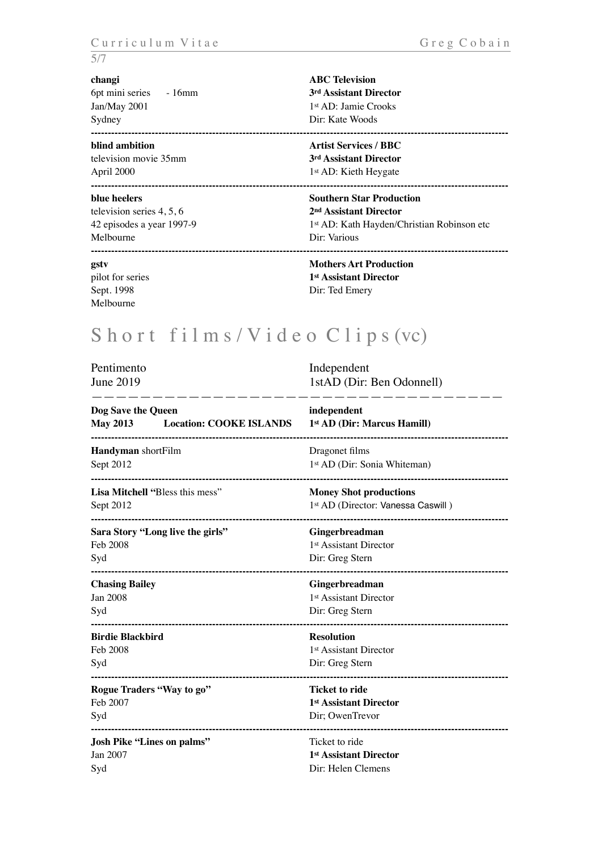6pt mini series - 16mm **3rd Assistant Director** Jan/May 2001 1st AD: Jamie Crooks Sydney Dir: Kate Woods

### **blind ambition Artist Services / BBC**

television movie 35mm **3rd Assistant Director**  April 2000 1<sup>st</sup> AD: Kieth Heygate

television series 4, 5, 6 **2nd Assistant Director** Melbourne Dir: Various

Melbourne

**changi ABC Television ----------------------------------------------------------------------------------------------------------------------------** 

**----------------------------------------------------------------------------------------------------------------------------** 

### **blue heelers** Southern Star Production

42 episodes a year 1997-9 1st AD: Kath Hayden/Christian Robinson etc **----------------------------------------------------------------------------------------------------------------------------** 

### **gstv Mothers Art Production**  pilot for series **1st Assistant Director** Sept. 1998 Dir: Ted Emery

## Short films/Video Clips (vc)

| Pentimento<br>June 2019                                                               | Independent<br>1stAD (Dir: Ben Odonnell)                                                                        |
|---------------------------------------------------------------------------------------|-----------------------------------------------------------------------------------------------------------------|
| Dog Save the Queen<br><b>May 2013</b><br><b>Location: COOKE ISLANDS</b>               | independent<br>1st AD (Dir: Marcus Hamill)                                                                      |
| Handyman shortFilm<br>Sept 2012                                                       | Dragonet films<br>1st AD (Dir: Sonia Whiteman)                                                                  |
| Lisa Mitchell "Bless this mess"<br>Sept 2012                                          | <b>Money Shot productions</b><br>1st AD (Director: Vanessa Caswill)                                             |
| Sara Story "Long live the girls"<br>Feb 2008<br>Syd<br>------------------------------ | Gingerbreadman<br>1 <sup>st</sup> Assistant Director<br>Dir: Greg Stern                                         |
| <b>Chasing Bailey</b><br><b>Jan 2008</b><br>Syd                                       | Gingerbreadman<br>1 <sup>st</sup> Assistant Director<br>Dir: Greg Stern                                         |
| <b>Birdie Blackbird</b><br>Feb 2008<br>Syd                                            | ---------------------------------<br><b>Resolution</b><br>1 <sup>st</sup> Assistant Director<br>Dir: Greg Stern |
| Rogue Traders "Way to go"<br>Feb 2007<br>Syd                                          | <b>Ticket to ride</b><br>1 <sup>st</sup> Assistant Director<br>Dir; OwenTrevor                                  |
| <b>Josh Pike "Lines on palms"</b><br>Jan 2007<br>Syd                                  | Ticket to ride<br>1st Assistant Director<br>Dir: Helen Clemens                                                  |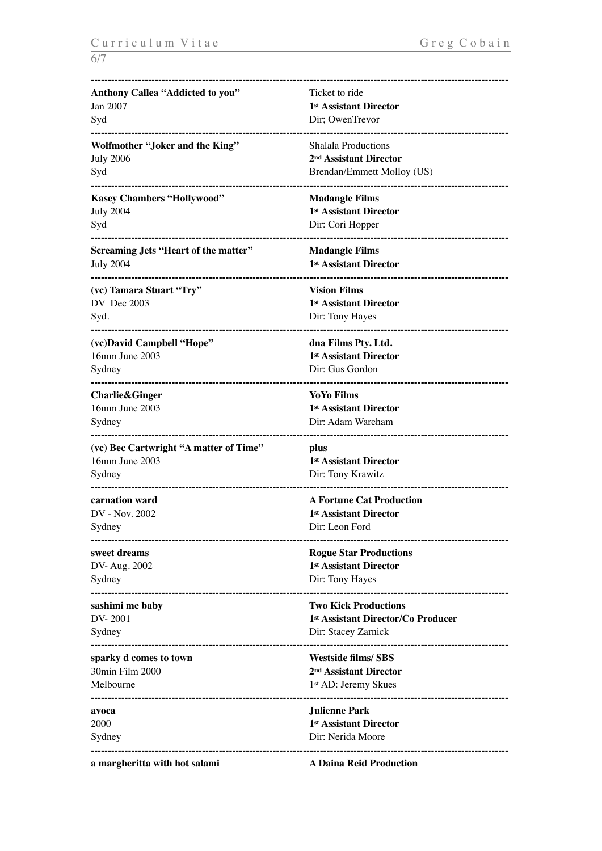| Anthony Callea "Addicted to you"            | Ticket to ride                     |
|---------------------------------------------|------------------------------------|
| Jan 2007                                    | 1st Assistant Director             |
| Syd                                         | Dir; OwenTrevor                    |
| Wolfmother "Joker and the King"             | Shalala Productions                |
| <b>July 2006</b>                            | 2 <sup>nd</sup> Assistant Director |
| Syd                                         | Brendan/Emmett Molloy (US)         |
| <b>Kasey Chambers "Hollywood"</b>           | <b>Madangle Films</b>              |
| <b>July 2004</b>                            | 1st Assistant Director             |
| Syd                                         | Dir: Cori Hopper                   |
| <b>Screaming Jets "Heart of the matter"</b> | <b>Madangle Films</b>              |
| <b>July 2004</b>                            | 1st Assistant Director             |
| (vc) Tamara Stuart "Try"                    | <b>Vision Films</b>                |
| DV Dec 2003                                 | 1st Assistant Director             |
| Syd.                                        | Dir: Tony Hayes                    |
| <br>(vc)David Campbell "Hope"               | dna Films Pty. Ltd.                |
| 16mm June 2003                              | 1st Assistant Director             |
| Sydney                                      | Dir: Gus Gordon                    |
| <b>Charlie&amp;Ginger</b>                   | <b>YoYo Films</b>                  |
| 16mm June 2003                              | 1st Assistant Director             |
| Sydney                                      | Dir: Adam Wareham                  |
| (vc) Bec Cartwright "A matter of Time"      | plus                               |
| 16mm June 2003                              | 1 <sup>st</sup> Assistant Director |
| Sydney                                      | Dir: Tony Krawitz                  |
| carnation ward                              | <b>A Fortune Cat Production</b>    |
| DV - Nov. 2002                              | 1st Assistant Director             |
| Sydney                                      | Dir: Leon Ford                     |
| sweet dreams                                | <b>Rogue Star Productions</b>      |
| DV-Aug. 2002                                | 1st Assistant Director             |
| Sydney                                      | Dir: Tony Hayes                    |
| sashimi me baby                             | <b>Two Kick Productions</b>        |
| DV-2001                                     | 1st Assistant Director/Co Producer |
| Sydney                                      | Dir: Stacey Zarnick                |
| sparky d comes to town                      | <b>Westside films/SBS</b>          |
| 30min Film 2000                             | 2 <sup>nd</sup> Assistant Director |
| Melbourne                                   | 1 <sup>st</sup> AD: Jeremy Skues   |
| avoca                                       | <b>Julienne Park</b>               |
| 2000                                        | 1st Assistant Director             |
| Sydney                                      | Dir: Nerida Moore                  |
|                                             |                                    |

**a margheritta with hot salami A Daina Reid Production**